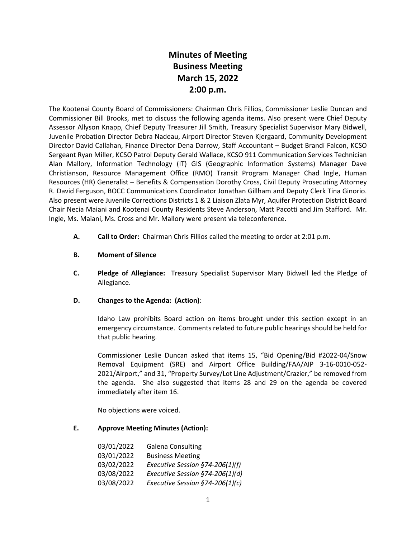# **Minutes of Meeting Business Meeting March 15, 2022 2:00 p.m.**

The Kootenai County Board of Commissioners: Chairman Chris Fillios, Commissioner Leslie Duncan and Commissioner Bill Brooks, met to discuss the following agenda items. Also present were Chief Deputy Assessor Allyson Knapp, Chief Deputy Treasurer Jill Smith, Treasury Specialist Supervisor Mary Bidwell, Juvenile Probation Director Debra Nadeau, Airport Director Steven Kjergaard, Community Development Director David Callahan, Finance Director Dena Darrow, Staff Accountant – Budget Brandi Falcon, KCSO Sergeant Ryan Miller, KCSO Patrol Deputy Gerald Wallace, KCSO 911 Communication Services Technician Alan Mallory, Information Technology (IT) GIS (Geographic Information Systems) Manager Dave Christianson, Resource Management Office (RMO) Transit Program Manager Chad Ingle, Human Resources (HR) Generalist – Benefits & Compensation Dorothy Cross, Civil Deputy Prosecuting Attorney R. David Ferguson, BOCC Communications Coordinator Jonathan Gillham and Deputy Clerk Tina Ginorio. Also present were Juvenile Corrections Districts 1 & 2 Liaison Zlata Myr, Aquifer Protection District Board Chair Necia Maiani and Kootenai County Residents Steve Anderson, Matt Pacotti and Jim Stafford. Mr. Ingle, Ms. Maiani, Ms. Cross and Mr. Mallory were present via teleconference.

- **A. Call to Order:** Chairman Chris Fillios called the meeting to order at 2:01 p.m.
- **B. Moment of Silence**
- **C. Pledge of Allegiance:** Treasury Specialist Supervisor Mary Bidwell led the Pledge of Allegiance.
- **D. Changes to the Agenda: (Action)**:

Idaho Law prohibits Board action on items brought under this section except in an emergency circumstance. Comments related to future public hearings should be held for that public hearing.

Commissioner Leslie Duncan asked that items 15, "Bid Opening/Bid #2022-04/Snow Removal Equipment (SRE) and Airport Office Building/FAA/AIP 3-16-0010-052- 2021/Airport," and 31, "Property Survey/Lot Line Adjustment/Crazier," be removed from the agenda. She also suggested that items 28 and 29 on the agenda be covered immediately after item 16.

No objections were voiced.

#### **E. Approve Meeting Minutes (Action):**

| 03/01/2022 | <b>Galena Consulting</b>        |
|------------|---------------------------------|
| 03/01/2022 | <b>Business Meeting</b>         |
| 03/02/2022 | Executive Session §74-206(1)(f) |
| 03/08/2022 | Executive Session §74-206(1)(d) |
| 03/08/2022 | Executive Session §74-206(1)(c) |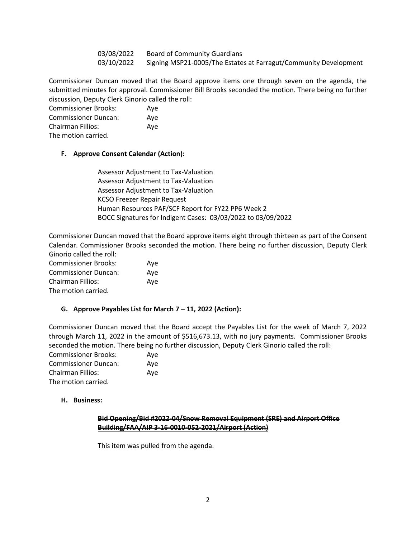03/08/2022 Board of Community Guardians 03/10/2022 Signing MSP21-0005/The Estates at Farragut/Community Development

Commissioner Duncan moved that the Board approve items one through seven on the agenda, the submitted minutes for approval. Commissioner Bill Brooks seconded the motion. There being no further discussion, Deputy Clerk Ginorio called the roll:

Commissioner Brooks: Aye Commissioner Duncan: Aye Chairman Fillios: Aye

The motion carried.

#### **F. Approve Consent Calendar (Action):**

Assessor Adjustment to Tax-Valuation Assessor Adjustment to Tax-Valuation Assessor Adjustment to Tax-Valuation KCSO Freezer Repair Request Human Resources PAF/SCF Report for FY22 PP6 Week 2 BOCC Signatures for Indigent Cases: 03/03/2022 to 03/09/2022

Commissioner Duncan moved that the Board approve items eight through thirteen as part of the Consent Calendar. Commissioner Brooks seconded the motion. There being no further discussion, Deputy Clerk Ginorio called the roll:

Commissioner Brooks: Aye Commissioner Duncan: Aye Chairman Fillios: Aye The motion carried.

#### **G. Approve Payables List for March 7 – 11, 2022 (Action):**

Commissioner Duncan moved that the Board accept the Payables List for the week of March 7, 2022 through March 11, 2022 in the amount of \$516,673.13, with no jury payments. Commissioner Brooks seconded the motion. There being no further discussion, Deputy Clerk Ginorio called the roll:

| <b>Commissioner Brooks:</b> | Ave |
|-----------------------------|-----|
| Commissioner Duncan:        | Ave |
| Chairman Fillios:           | Ave |
| The motion carried.         |     |

#### **H. Business:**

#### **Bid Opening/Bid #2022-04/Snow Removal Equipment (SRE) and Airport Office Building/FAA/AIP 3-16-0010-052-2021/Airport (Action)**

This item was pulled from the agenda.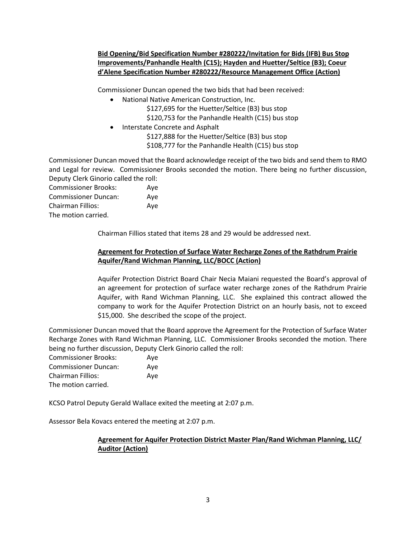## **Bid Opening/Bid Specification Number #280222/Invitation for Bids (IFB) Bus Stop Improvements/Panhandle Health (C15); Hayden and Huetter/Seltice (B3); Coeur d'Alene Specification Number #280222/Resource Management Office (Action)**

Commissioner Duncan opened the two bids that had been received:

- National Native American Construction, Inc. \$127,695 for the Huetter/Seltice (B3) bus stop \$120,753 for the Panhandle Health (C15) bus stop
- Interstate Concrete and Asphalt \$127,888 for the Huetter/Seltice (B3) bus stop \$108,777 for the Panhandle Health (C15) bus stop

Commissioner Duncan moved that the Board acknowledge receipt of the two bids and send them to RMO and Legal for review. Commissioner Brooks seconded the motion. There being no further discussion, Deputy Clerk Ginorio called the roll:

Commissioner Brooks: Aye Commissioner Duncan: Aye Chairman Fillios: Aye The motion carried.

Chairman Fillios stated that items 28 and 29 would be addressed next.

## **Agreement for Protection of Surface Water Recharge Zones of the Rathdrum Prairie Aquifer/Rand Wichman Planning, LLC/BOCC (Action)**

Aquifer Protection District Board Chair Necia Maiani requested the Board's approval of an agreement for protection of surface water recharge zones of the Rathdrum Prairie Aquifer, with Rand Wichman Planning, LLC. She explained this contract allowed the company to work for the Aquifer Protection District on an hourly basis, not to exceed \$15,000. She described the scope of the project.

Commissioner Duncan moved that the Board approve the Agreement for the Protection of Surface Water Recharge Zones with Rand Wichman Planning, LLC. Commissioner Brooks seconded the motion. There being no further discussion, Deputy Clerk Ginorio called the roll:

| <b>Commissioner Brooks:</b> | Ave |
|-----------------------------|-----|
| <b>Commissioner Duncan:</b> | Ave |
| Chairman Fillios:           | Ave |
| The motion carried.         |     |

KCSO Patrol Deputy Gerald Wallace exited the meeting at 2:07 p.m.

Assessor Bela Kovacs entered the meeting at 2:07 p.m.

## **Agreement for Aquifer Protection District Master Plan/Rand Wichman Planning, LLC/ Auditor (Action)**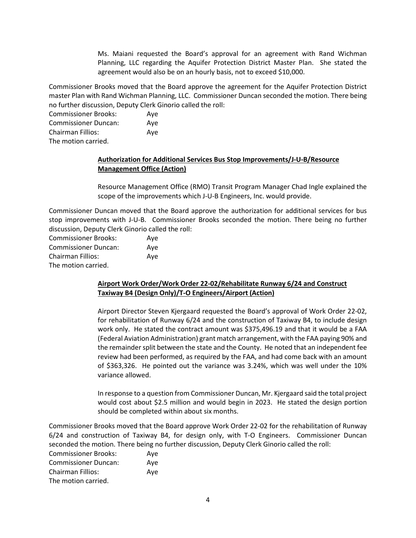Ms. Maiani requested the Board's approval for an agreement with Rand Wichman Planning, LLC regarding the Aquifer Protection District Master Plan. She stated the agreement would also be on an hourly basis, not to exceed \$10,000.

Commissioner Brooks moved that the Board approve the agreement for the Aquifer Protection District master Plan with Rand Wichman Planning, LLC. Commissioner Duncan seconded the motion. There being no further discussion, Deputy Clerk Ginorio called the roll:

Commissioner Brooks: Aye Commissioner Duncan: Aye Chairman Fillios: Aye The motion carried.

## **Authorization for Additional Services Bus Stop Improvements/J-U-B/Resource Management Office (Action)**

Resource Management Office (RMO) Transit Program Manager Chad Ingle explained the scope of the improvements which J-U-B Engineers, Inc. would provide.

Commissioner Duncan moved that the Board approve the authorization for additional services for bus stop improvements with J-U-B. Commissioner Brooks seconded the motion. There being no further discussion, Deputy Clerk Ginorio called the roll:

| <b>Commissioner Brooks:</b> | Ave |
|-----------------------------|-----|
| <b>Commissioner Duncan:</b> | Aye |
| Chairman Fillios:           | Aye |
| The motion carried.         |     |

## **Airport Work Order/Work Order 22-02/Rehabilitate Runway 6/24 and Construct Taxiway B4 (Design Only)/T-O Engineers/Airport (Action)**

Airport Director Steven Kjergaard requested the Board's approval of Work Order 22-02, for rehabilitation of Runway 6/24 and the construction of Taxiway B4, to include design work only. He stated the contract amount was \$375,496.19 and that it would be a FAA (Federal Aviation Administration) grant match arrangement, with the FAA paying 90% and the remainder split between the state and the County. He noted that an independent fee review had been performed, as required by the FAA, and had come back with an amount of \$363,326. He pointed out the variance was 3.24%, which was well under the 10% variance allowed.

In response to a question from Commissioner Duncan, Mr. Kjergaard said the total project would cost about \$2.5 million and would begin in 2023. He stated the design portion should be completed within about six months.

Commissioner Brooks moved that the Board approve Work Order 22-02 for the rehabilitation of Runway 6/24 and construction of Taxiway B4, for design only, with T-O Engineers. Commissioner Duncan seconded the motion. There being no further discussion, Deputy Clerk Ginorio called the roll:

Commissioner Brooks: Aye Commissioner Duncan: Aye Chairman Fillios: Aye The motion carried.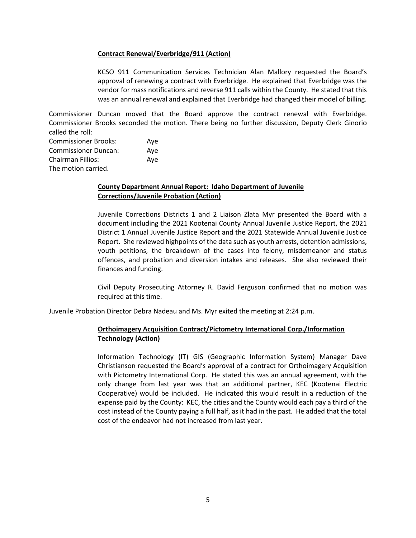#### **Contract Renewal/Everbridge/911 (Action)**

KCSO 911 Communication Services Technician Alan Mallory requested the Board's approval of renewing a contract with Everbridge. He explained that Everbridge was the vendor for mass notifications and reverse 911 calls within the County. He stated that this was an annual renewal and explained that Everbridge had changed their model of billing.

Commissioner Duncan moved that the Board approve the contract renewal with Everbridge. Commissioner Brooks seconded the motion. There being no further discussion, Deputy Clerk Ginorio called the roll:

| <b>Commissioner Brooks:</b> | Aye |
|-----------------------------|-----|
| <b>Commissioner Duncan:</b> | Aye |
| <b>Chairman Fillios:</b>    | Ave |
| The motion carried.         |     |

## **County Department Annual Report: Idaho Department of Juvenile Corrections/Juvenile Probation (Action)**

Juvenile Corrections Districts 1 and 2 Liaison Zlata Myr presented the Board with a document including the 2021 Kootenai County Annual Juvenile Justice Report, the 2021 District 1 Annual Juvenile Justice Report and the 2021 Statewide Annual Juvenile Justice Report. She reviewed highpoints of the data such as youth arrests, detention admissions, youth petitions, the breakdown of the cases into felony, misdemeanor and status offences, and probation and diversion intakes and releases. She also reviewed their finances and funding.

Civil Deputy Prosecuting Attorney R. David Ferguson confirmed that no motion was required at this time.

Juvenile Probation Director Debra Nadeau and Ms. Myr exited the meeting at 2:24 p.m.

## **Orthoimagery Acquisition Contract/Pictometry International Corp./Information Technology (Action)**

Information Technology (IT) GIS (Geographic Information System) Manager Dave Christianson requested the Board's approval of a contract for Orthoimagery Acquisition with Pictometry International Corp. He stated this was an annual agreement, with the only change from last year was that an additional partner, KEC (Kootenai Electric Cooperative) would be included. He indicated this would result in a reduction of the expense paid by the County: KEC, the cities and the County would each pay a third of the cost instead of the County paying a full half, as it had in the past. He added that the total cost of the endeavor had not increased from last year.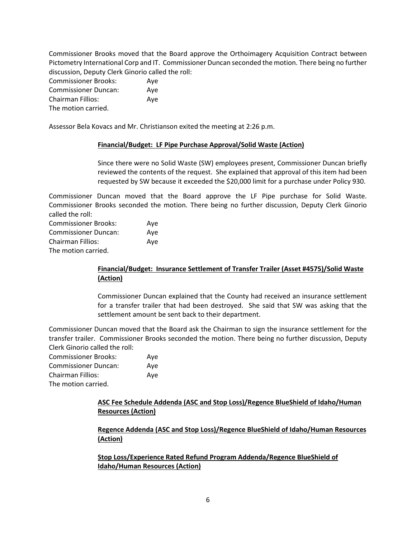Commissioner Brooks moved that the Board approve the Orthoimagery Acquisition Contract between Pictometry International Corp and IT. Commissioner Duncan seconded the motion. There being no further discussion, Deputy Clerk Ginorio called the roll:

| <b>Commissioner Brooks:</b> | Aye |
|-----------------------------|-----|
| <b>Commissioner Duncan:</b> | Ave |
| <b>Chairman Fillios:</b>    | Ave |
| The motion carried.         |     |

Assessor Bela Kovacs and Mr. Christianson exited the meeting at 2:26 p.m.

#### **Financial/Budget: LF Pipe Purchase Approval/Solid Waste (Action)**

Since there were no Solid Waste (SW) employees present, Commissioner Duncan briefly reviewed the contents of the request. She explained that approval of this item had been requested by SW because it exceeded the \$20,000 limit for a purchase under Policy 930.

Commissioner Duncan moved that the Board approve the LF Pipe purchase for Solid Waste. Commissioner Brooks seconded the motion. There being no further discussion, Deputy Clerk Ginorio called the roll:

| <b>Commissioner Brooks:</b> | Aye |
|-----------------------------|-----|
| <b>Commissioner Duncan:</b> | Ave |
| <b>Chairman Fillios:</b>    | Aye |
| The motion carried.         |     |

## **Financial/Budget: Insurance Settlement of Transfer Trailer (Asset #4575)/Solid Waste (Action)**

Commissioner Duncan explained that the County had received an insurance settlement for a transfer trailer that had been destroyed. She said that SW was asking that the settlement amount be sent back to their department.

Commissioner Duncan moved that the Board ask the Chairman to sign the insurance settlement for the transfer trailer. Commissioner Brooks seconded the motion. There being no further discussion, Deputy Clerk Ginorio called the roll:

| <b>Commissioner Brooks:</b> | Ave |
|-----------------------------|-----|
| <b>Commissioner Duncan:</b> | Aye |
| Chairman Fillios:           | Ave |
| The motion carried.         |     |

**ASC Fee Schedule Addenda (ASC and Stop Loss)/Regence BlueShield of Idaho/Human Resources (Action)**

**Regence Addenda (ASC and Stop Loss)/Regence BlueShield of Idaho/Human Resources (Action)**

**Stop Loss/Experience Rated Refund Program Addenda/Regence BlueShield of Idaho/Human Resources (Action)**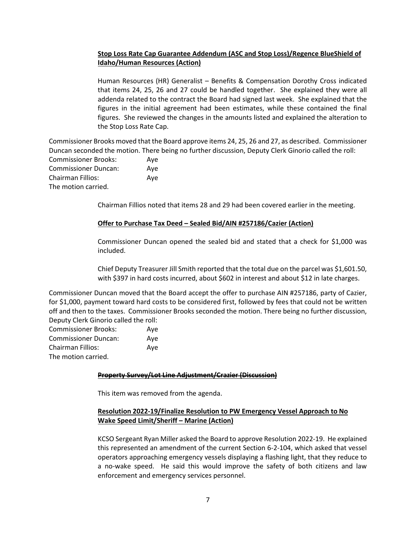## **Stop Loss Rate Cap Guarantee Addendum (ASC and Stop Loss)/Regence BlueShield of Idaho/Human Resources (Action)**

Human Resources (HR) Generalist – Benefits & Compensation Dorothy Cross indicated that items 24, 25, 26 and 27 could be handled together. She explained they were all addenda related to the contract the Board had signed last week. She explained that the figures in the initial agreement had been estimates, while these contained the final figures. She reviewed the changes in the amounts listed and explained the alteration to the Stop Loss Rate Cap.

Commissioner Brooks moved that the Board approve items 24, 25, 26 and 27, as described. Commissioner Duncan seconded the motion. There being no further discussion, Deputy Clerk Ginorio called the roll: Commissioner Brooks: Aye Commissioner Duncan: Aye Chairman Fillios: Aye The motion carried.

Chairman Fillios noted that items 28 and 29 had been covered earlier in the meeting.

#### **Offer to Purchase Tax Deed – Sealed Bid/AIN #257186/Cazier (Action)**

Commissioner Duncan opened the sealed bid and stated that a check for \$1,000 was included.

Chief Deputy Treasurer Jill Smith reported that the total due on the parcel was \$1,601.50, with \$397 in hard costs incurred, about \$602 in interest and about \$12 in late charges.

Commissioner Duncan moved that the Board accept the offer to purchase AIN #257186, party of Cazier, for \$1,000, payment toward hard costs to be considered first, followed by fees that could not be written off and then to the taxes. Commissioner Brooks seconded the motion. There being no further discussion, Deputy Clerk Ginorio called the roll:

| <b>Commissioner Brooks:</b> | Ave |
|-----------------------------|-----|
| <b>Commissioner Duncan:</b> | Ave |
| Chairman Fillios:           | Ave |
| The motion carried.         |     |

#### **Property Survey/Lot Line Adjustment/Crazier (Discussion)**

This item was removed from the agenda.

## **Resolution 2022-19/Finalize Resolution to PW Emergency Vessel Approach to No Wake Speed Limit/Sheriff – Marine (Action)**

KCSO Sergeant Ryan Miller asked the Board to approve Resolution 2022-19. He explained this represented an amendment of the current Section 6-2-104, which asked that vessel operators approaching emergency vessels displaying a flashing light, that they reduce to a no-wake speed. He said this would improve the safety of both citizens and law enforcement and emergency services personnel.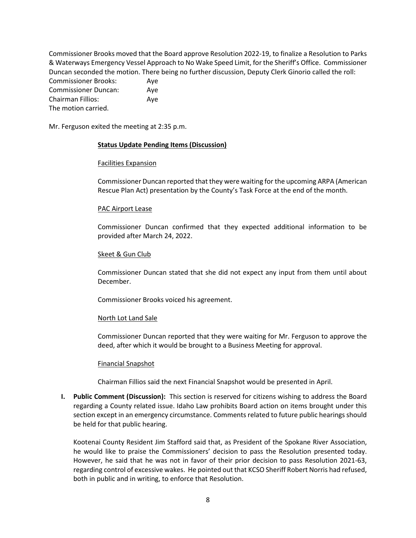Commissioner Brooks moved that the Board approve Resolution 2022-19, to finalize a Resolution to Parks & Waterways Emergency Vessel Approach to No Wake Speed Limit, for the Sheriff's Office. Commissioner Duncan seconded the motion. There being no further discussion, Deputy Clerk Ginorio called the roll: Commissioner Brooks: Aye Commissioner Duncan: Aye Chairman Fillios: Aye The motion carried.

Mr. Ferguson exited the meeting at 2:35 p.m.

#### **Status Update Pending Items (Discussion)**

#### Facilities Expansion

Commissioner Duncan reported that they were waiting for the upcoming ARPA (American Rescue Plan Act) presentation by the County's Task Force at the end of the month.

#### PAC Airport Lease

Commissioner Duncan confirmed that they expected additional information to be provided after March 24, 2022.

#### Skeet & Gun Club

Commissioner Duncan stated that she did not expect any input from them until about December.

Commissioner Brooks voiced his agreement.

#### North Lot Land Sale

Commissioner Duncan reported that they were waiting for Mr. Ferguson to approve the deed, after which it would be brought to a Business Meeting for approval.

#### Financial Snapshot

Chairman Fillios said the next Financial Snapshot would be presented in April.

**I. Public Comment (Discussion):** This section is reserved for citizens wishing to address the Board regarding a County related issue. Idaho Law prohibits Board action on items brought under this section except in an emergency circumstance. Comments related to future public hearings should be held for that public hearing.

Kootenai County Resident Jim Stafford said that, as President of the Spokane River Association, he would like to praise the Commissioners' decision to pass the Resolution presented today. However, he said that he was not in favor of their prior decision to pass Resolution 2021-63, regarding control of excessive wakes. He pointed out that KCSO Sheriff Robert Norris had refused, both in public and in writing, to enforce that Resolution.